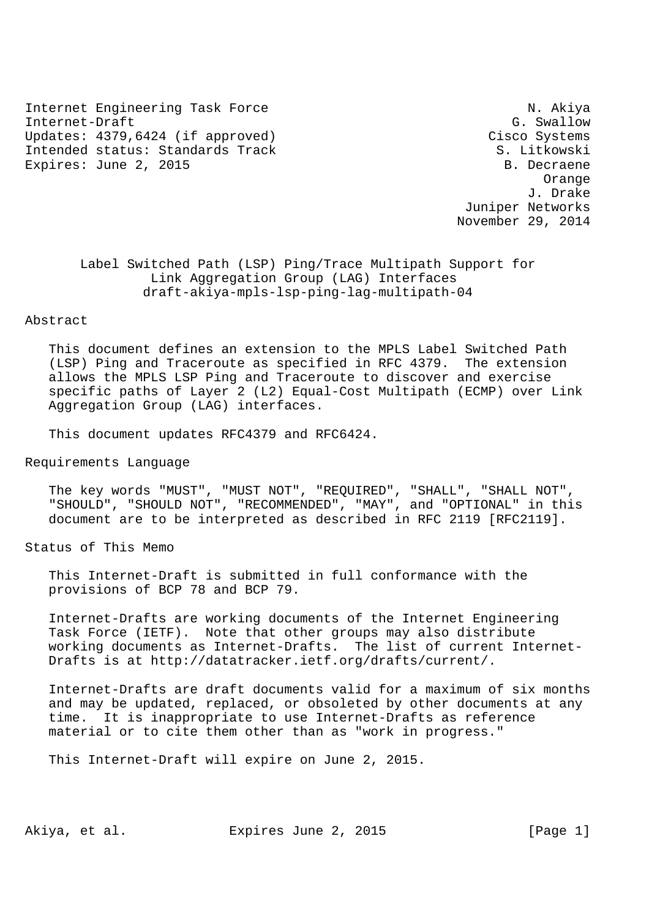Internet Engineering Task Force N. Akiya Internet-Draft G. Swallow G. Swallow Updates: 4379,6424 (if approved) Cisco Systems Intended status: Standards Track S. Litkowski Expires: June 2, 2015 B. Decraene

 Orange J. Drake Juniper Networks November 29, 2014

 Label Switched Path (LSP) Ping/Trace Multipath Support for Link Aggregation Group (LAG) Interfaces draft-akiya-mpls-lsp-ping-lag-multipath-04

### Abstract

 This document defines an extension to the MPLS Label Switched Path (LSP) Ping and Traceroute as specified in RFC 4379. The extension allows the MPLS LSP Ping and Traceroute to discover and exercise specific paths of Layer 2 (L2) Equal-Cost Multipath (ECMP) over Link Aggregation Group (LAG) interfaces.

This document updates RFC4379 and RFC6424.

Requirements Language

 The key words "MUST", "MUST NOT", "REQUIRED", "SHALL", "SHALL NOT", "SHOULD", "SHOULD NOT", "RECOMMENDED", "MAY", and "OPTIONAL" in this document are to be interpreted as described in RFC 2119 [RFC2119].

Status of This Memo

 This Internet-Draft is submitted in full conformance with the provisions of BCP 78 and BCP 79.

 Internet-Drafts are working documents of the Internet Engineering Task Force (IETF). Note that other groups may also distribute working documents as Internet-Drafts. The list of current Internet- Drafts is at http://datatracker.ietf.org/drafts/current/.

 Internet-Drafts are draft documents valid for a maximum of six months and may be updated, replaced, or obsoleted by other documents at any time. It is inappropriate to use Internet-Drafts as reference material or to cite them other than as "work in progress."

This Internet-Draft will expire on June 2, 2015.

Akiya, et al. Expires June 2, 2015 [Page 1]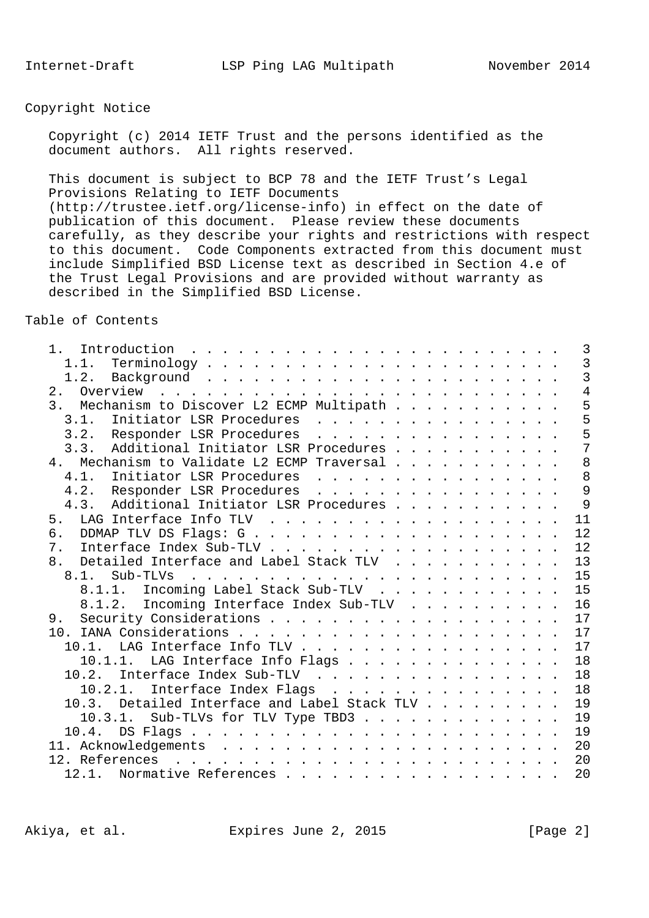# Copyright Notice

 Copyright (c) 2014 IETF Trust and the persons identified as the document authors. All rights reserved.

 This document is subject to BCP 78 and the IETF Trust's Legal Provisions Relating to IETF Documents (http://trustee.ietf.org/license-info) in effect on the date of publication of this document. Please review these documents carefully, as they describe your rights and restrictions with respect to this document. Code Components extracted from this document must include Simplified BSD License text as described in Section 4.e of the Trust Legal Provisions and are provided without warranty as described in the Simplified BSD License.

Table of Contents

| 1.1.<br>2.<br>3. Mechanism to Discover L2 ECMP Multipath<br>Initiator LSR Procedures<br>3.1.<br>3.2. Responder LSR Procedures<br>3.3. Additional Initiator LSR Procedures<br>Mechanism to Validate L2 ECMP Traversal<br>4.<br>4.1.<br>Initiator LSR Procedures<br>4.2. Responder LSR Procedures<br>Additional Initiator LSR Procedures<br>4.3.<br>5.<br>б.<br>$7$ .<br>Detailed Interface and Label Stack TLV<br>8.<br>8.1.<br>8.1.1. Incoming Label Stack Sub-TLV<br>15<br>16<br>8.1.2. Incoming Interface Index Sub-TLV<br>17<br>9.<br>10.1. LAG Interface Info TLV<br>LAG Interface Info Flags<br>10.1.1.<br>10.2. Interface Index Sub-TLV<br>10.2.1.<br>Interface Index Flags<br>10.3. Detailed Interface and Label Stack TLV<br>10.3.1. Sub-TLVs for TLV Type TBD3<br>10.4. | $1$ .                                                                                                                                                                                                                                           | 3              |
|----------------------------------------------------------------------------------------------------------------------------------------------------------------------------------------------------------------------------------------------------------------------------------------------------------------------------------------------------------------------------------------------------------------------------------------------------------------------------------------------------------------------------------------------------------------------------------------------------------------------------------------------------------------------------------------------------------------------------------------------------------------------------------|-------------------------------------------------------------------------------------------------------------------------------------------------------------------------------------------------------------------------------------------------|----------------|
|                                                                                                                                                                                                                                                                                                                                                                                                                                                                                                                                                                                                                                                                                                                                                                                  |                                                                                                                                                                                                                                                 | $\overline{3}$ |
|                                                                                                                                                                                                                                                                                                                                                                                                                                                                                                                                                                                                                                                                                                                                                                                  |                                                                                                                                                                                                                                                 | $\overline{3}$ |
|                                                                                                                                                                                                                                                                                                                                                                                                                                                                                                                                                                                                                                                                                                                                                                                  |                                                                                                                                                                                                                                                 | $\overline{4}$ |
|                                                                                                                                                                                                                                                                                                                                                                                                                                                                                                                                                                                                                                                                                                                                                                                  |                                                                                                                                                                                                                                                 | 5              |
|                                                                                                                                                                                                                                                                                                                                                                                                                                                                                                                                                                                                                                                                                                                                                                                  |                                                                                                                                                                                                                                                 | 5              |
|                                                                                                                                                                                                                                                                                                                                                                                                                                                                                                                                                                                                                                                                                                                                                                                  |                                                                                                                                                                                                                                                 |                |
|                                                                                                                                                                                                                                                                                                                                                                                                                                                                                                                                                                                                                                                                                                                                                                                  |                                                                                                                                                                                                                                                 | $\frac{5}{7}$  |
|                                                                                                                                                                                                                                                                                                                                                                                                                                                                                                                                                                                                                                                                                                                                                                                  |                                                                                                                                                                                                                                                 | 8              |
|                                                                                                                                                                                                                                                                                                                                                                                                                                                                                                                                                                                                                                                                                                                                                                                  |                                                                                                                                                                                                                                                 | 8              |
|                                                                                                                                                                                                                                                                                                                                                                                                                                                                                                                                                                                                                                                                                                                                                                                  |                                                                                                                                                                                                                                                 | $\overline{9}$ |
|                                                                                                                                                                                                                                                                                                                                                                                                                                                                                                                                                                                                                                                                                                                                                                                  |                                                                                                                                                                                                                                                 | 9              |
|                                                                                                                                                                                                                                                                                                                                                                                                                                                                                                                                                                                                                                                                                                                                                                                  |                                                                                                                                                                                                                                                 | 11             |
|                                                                                                                                                                                                                                                                                                                                                                                                                                                                                                                                                                                                                                                                                                                                                                                  |                                                                                                                                                                                                                                                 | 12             |
|                                                                                                                                                                                                                                                                                                                                                                                                                                                                                                                                                                                                                                                                                                                                                                                  |                                                                                                                                                                                                                                                 | 12             |
|                                                                                                                                                                                                                                                                                                                                                                                                                                                                                                                                                                                                                                                                                                                                                                                  |                                                                                                                                                                                                                                                 | 13             |
|                                                                                                                                                                                                                                                                                                                                                                                                                                                                                                                                                                                                                                                                                                                                                                                  |                                                                                                                                                                                                                                                 | 15             |
|                                                                                                                                                                                                                                                                                                                                                                                                                                                                                                                                                                                                                                                                                                                                                                                  |                                                                                                                                                                                                                                                 |                |
|                                                                                                                                                                                                                                                                                                                                                                                                                                                                                                                                                                                                                                                                                                                                                                                  |                                                                                                                                                                                                                                                 |                |
|                                                                                                                                                                                                                                                                                                                                                                                                                                                                                                                                                                                                                                                                                                                                                                                  |                                                                                                                                                                                                                                                 |                |
|                                                                                                                                                                                                                                                                                                                                                                                                                                                                                                                                                                                                                                                                                                                                                                                  |                                                                                                                                                                                                                                                 |                |
|                                                                                                                                                                                                                                                                                                                                                                                                                                                                                                                                                                                                                                                                                                                                                                                  |                                                                                                                                                                                                                                                 | 17             |
|                                                                                                                                                                                                                                                                                                                                                                                                                                                                                                                                                                                                                                                                                                                                                                                  |                                                                                                                                                                                                                                                 | 17             |
|                                                                                                                                                                                                                                                                                                                                                                                                                                                                                                                                                                                                                                                                                                                                                                                  |                                                                                                                                                                                                                                                 | 18             |
|                                                                                                                                                                                                                                                                                                                                                                                                                                                                                                                                                                                                                                                                                                                                                                                  |                                                                                                                                                                                                                                                 | 18             |
|                                                                                                                                                                                                                                                                                                                                                                                                                                                                                                                                                                                                                                                                                                                                                                                  |                                                                                                                                                                                                                                                 | 18             |
|                                                                                                                                                                                                                                                                                                                                                                                                                                                                                                                                                                                                                                                                                                                                                                                  |                                                                                                                                                                                                                                                 | 19             |
|                                                                                                                                                                                                                                                                                                                                                                                                                                                                                                                                                                                                                                                                                                                                                                                  |                                                                                                                                                                                                                                                 | 19             |
|                                                                                                                                                                                                                                                                                                                                                                                                                                                                                                                                                                                                                                                                                                                                                                                  |                                                                                                                                                                                                                                                 | 19             |
|                                                                                                                                                                                                                                                                                                                                                                                                                                                                                                                                                                                                                                                                                                                                                                                  |                                                                                                                                                                                                                                                 | 20             |
|                                                                                                                                                                                                                                                                                                                                                                                                                                                                                                                                                                                                                                                                                                                                                                                  | 12. References<br>and a construction of the construction of the construction of the construction of the construction of the construction of the construction of the construction of the construction of the construction of the construction of | 20             |
| 12.1. Normative References                                                                                                                                                                                                                                                                                                                                                                                                                                                                                                                                                                                                                                                                                                                                                       |                                                                                                                                                                                                                                                 | 20             |

Akiya, et al. Expires June 2, 2015 [Page 2]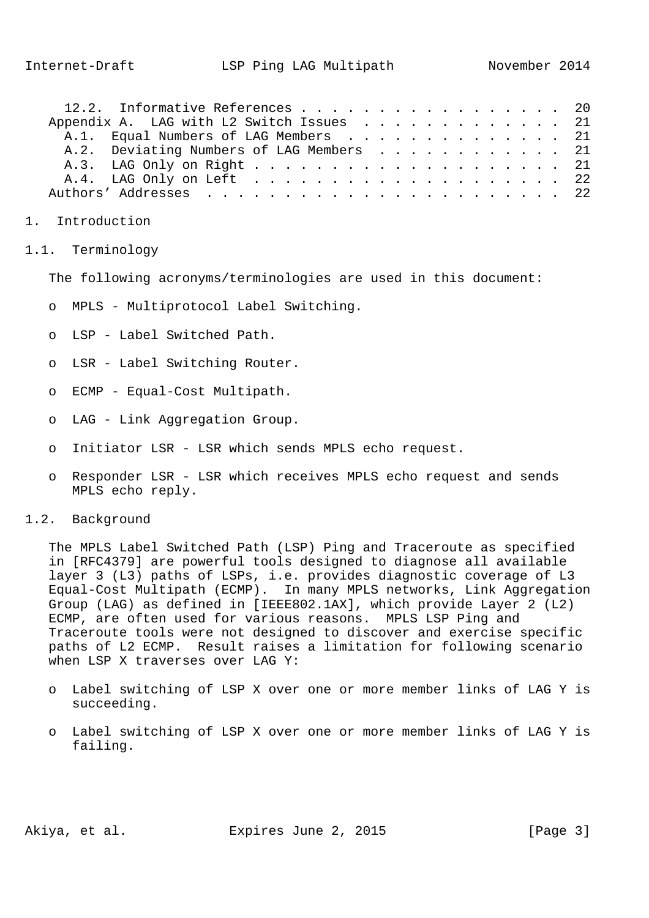| 12.2. Informative References 20          |  |  |  |  |  |  |  |  |  |  |  |  |  |
|------------------------------------------|--|--|--|--|--|--|--|--|--|--|--|--|--|
| Appendix A. LAG with L2 Switch Issues 21 |  |  |  |  |  |  |  |  |  |  |  |  |  |
| A.1. Equal Numbers of LAG Members 21     |  |  |  |  |  |  |  |  |  |  |  |  |  |
| A.2. Deviating Numbers of LAG Members 21 |  |  |  |  |  |  |  |  |  |  |  |  |  |
|                                          |  |  |  |  |  |  |  |  |  |  |  |  |  |
|                                          |  |  |  |  |  |  |  |  |  |  |  |  |  |
|                                          |  |  |  |  |  |  |  |  |  |  |  |  |  |

- 1. Introduction
- 1.1. Terminology

The following acronyms/terminologies are used in this document:

- o MPLS Multiprotocol Label Switching.
- o LSP Label Switched Path.
- o LSR Label Switching Router.
- o ECMP Equal-Cost Multipath.
- o LAG Link Aggregation Group.
- o Initiator LSR LSR which sends MPLS echo request.
- o Responder LSR LSR which receives MPLS echo request and sends MPLS echo reply.
- 1.2. Background

 The MPLS Label Switched Path (LSP) Ping and Traceroute as specified in [RFC4379] are powerful tools designed to diagnose all available layer 3 (L3) paths of LSPs, i.e. provides diagnostic coverage of L3 Equal-Cost Multipath (ECMP). In many MPLS networks, Link Aggregation Group (LAG) as defined in [IEEE802.1AX], which provide Layer 2 (L2) ECMP, are often used for various reasons. MPLS LSP Ping and Traceroute tools were not designed to discover and exercise specific paths of L2 ECMP. Result raises a limitation for following scenario when LSP X traverses over LAG Y:

- o Label switching of LSP X over one or more member links of LAG Y is succeeding.
- o Label switching of LSP X over one or more member links of LAG Y is failing.

Akiya, et al. Expires June 2, 2015 [Page 3]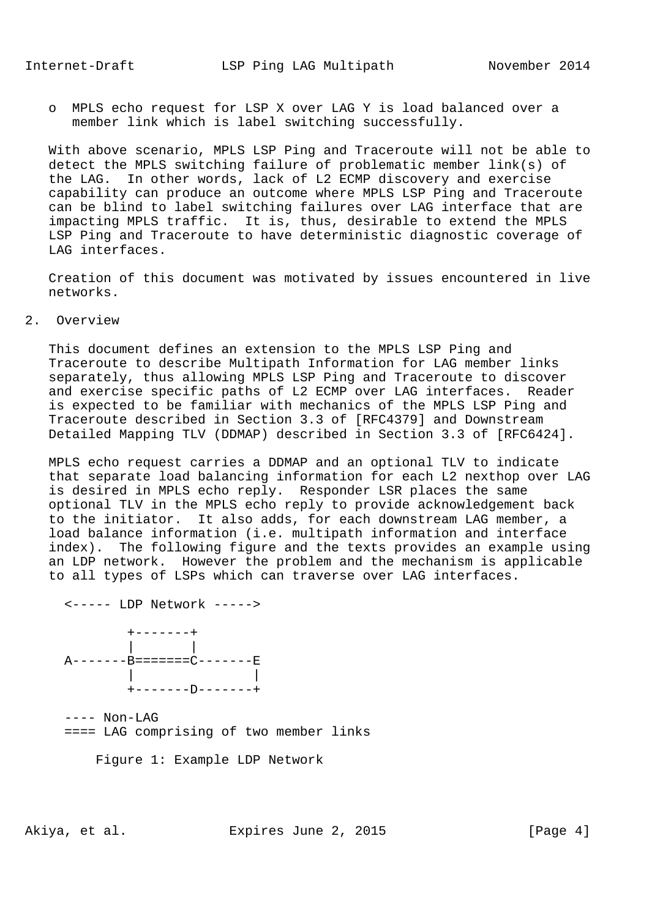o MPLS echo request for LSP X over LAG Y is load balanced over a member link which is label switching successfully.

 With above scenario, MPLS LSP Ping and Traceroute will not be able to detect the MPLS switching failure of problematic member link(s) of the LAG. In other words, lack of L2 ECMP discovery and exercise capability can produce an outcome where MPLS LSP Ping and Traceroute can be blind to label switching failures over LAG interface that are impacting MPLS traffic. It is, thus, desirable to extend the MPLS LSP Ping and Traceroute to have deterministic diagnostic coverage of LAG interfaces.

 Creation of this document was motivated by issues encountered in live networks.

### 2. Overview

 This document defines an extension to the MPLS LSP Ping and Traceroute to describe Multipath Information for LAG member links separately, thus allowing MPLS LSP Ping and Traceroute to discover and exercise specific paths of L2 ECMP over LAG interfaces. Reader is expected to be familiar with mechanics of the MPLS LSP Ping and Traceroute described in Section 3.3 of [RFC4379] and Downstream Detailed Mapping TLV (DDMAP) described in Section 3.3 of [RFC6424].

 MPLS echo request carries a DDMAP and an optional TLV to indicate that separate load balancing information for each L2 nexthop over LAG is desired in MPLS echo reply. Responder LSR places the same optional TLV in the MPLS echo reply to provide acknowledgement back to the initiator. It also adds, for each downstream LAG member, a load balance information (i.e. multipath information and interface index). The following figure and the texts provides an example using an LDP network. However the problem and the mechanism is applicable to all types of LSPs which can traverse over LAG interfaces.

 <----- LDP Network -----> +-------+ | | A-------B=======C-------E | | +-------D-------+

 ---- Non-LAG ==== LAG comprising of two member links

Figure 1: Example LDP Network

Akiya, et al. Expires June 2, 2015 [Page 4]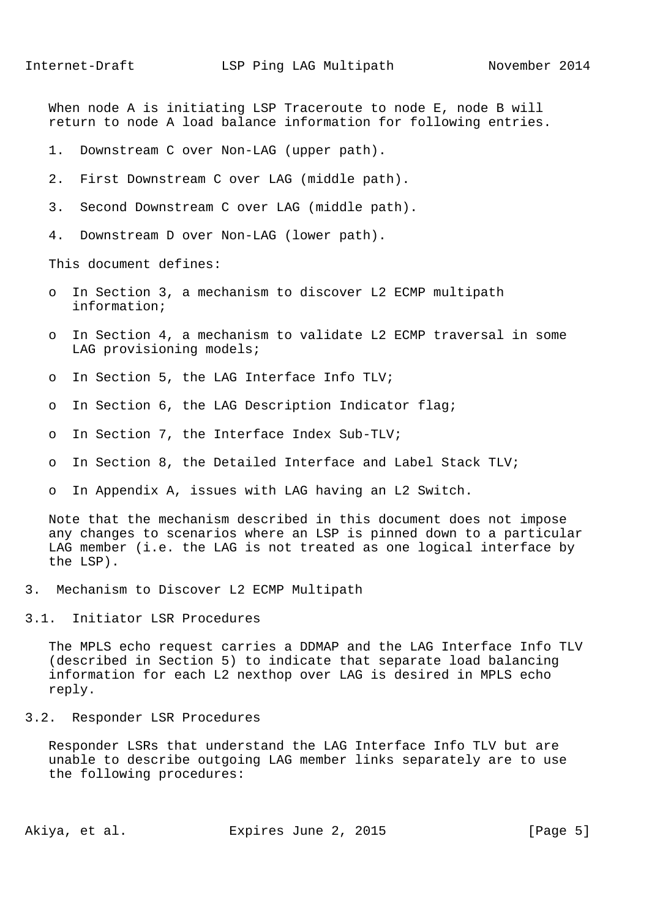When node A is initiating LSP Traceroute to node E, node B will return to node A load balance information for following entries.

- 1. Downstream C over Non-LAG (upper path).
- 2. First Downstream C over LAG (middle path).
- 3. Second Downstream C over LAG (middle path).
- 4. Downstream D over Non-LAG (lower path).

This document defines:

- o In Section 3, a mechanism to discover L2 ECMP multipath information;
- o In Section 4, a mechanism to validate L2 ECMP traversal in some LAG provisioning models;
- o In Section 5, the LAG Interface Info TLV;
- o In Section 6, the LAG Description Indicator flag;
- o In Section 7, the Interface Index Sub-TLV;
- o In Section 8, the Detailed Interface and Label Stack TLV;
- o In Appendix A, issues with LAG having an L2 Switch.

 Note that the mechanism described in this document does not impose any changes to scenarios where an LSP is pinned down to a particular LAG member (i.e. the LAG is not treated as one logical interface by the LSP).

- 3. Mechanism to Discover L2 ECMP Multipath
- 3.1. Initiator LSR Procedures

 The MPLS echo request carries a DDMAP and the LAG Interface Info TLV (described in Section 5) to indicate that separate load balancing information for each L2 nexthop over LAG is desired in MPLS echo reply.

3.2. Responder LSR Procedures

 Responder LSRs that understand the LAG Interface Info TLV but are unable to describe outgoing LAG member links separately are to use the following procedures:

Akiya, et al. Expires June 2, 2015 [Page 5]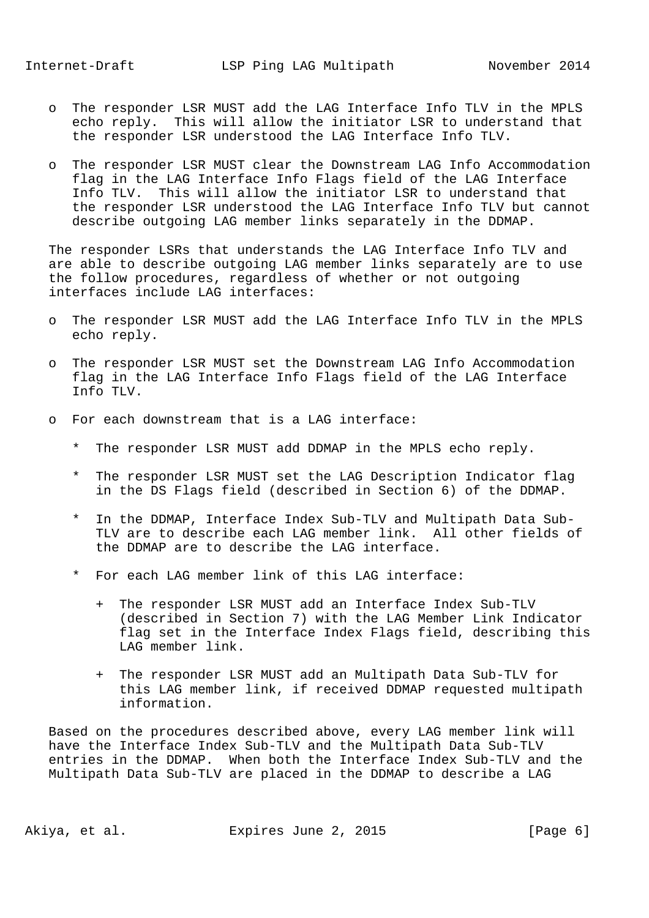- o The responder LSR MUST add the LAG Interface Info TLV in the MPLS echo reply. This will allow the initiator LSR to understand that the responder LSR understood the LAG Interface Info TLV.
- o The responder LSR MUST clear the Downstream LAG Info Accommodation flag in the LAG Interface Info Flags field of the LAG Interface Info TLV. This will allow the initiator LSR to understand that the responder LSR understood the LAG Interface Info TLV but cannot describe outgoing LAG member links separately in the DDMAP.

 The responder LSRs that understands the LAG Interface Info TLV and are able to describe outgoing LAG member links separately are to use the follow procedures, regardless of whether or not outgoing interfaces include LAG interfaces:

- o The responder LSR MUST add the LAG Interface Info TLV in the MPLS echo reply.
- o The responder LSR MUST set the Downstream LAG Info Accommodation flag in the LAG Interface Info Flags field of the LAG Interface Info TLV.
- o For each downstream that is a LAG interface:
	- \* The responder LSR MUST add DDMAP in the MPLS echo reply.
	- The responder LSR MUST set the LAG Description Indicator flag in the DS Flags field (described in Section 6) of the DDMAP.
	- \* In the DDMAP, Interface Index Sub-TLV and Multipath Data Sub- TLV are to describe each LAG member link. All other fields of the DDMAP are to describe the LAG interface.
	- For each LAG member link of this LAG interface:
		- + The responder LSR MUST add an Interface Index Sub-TLV (described in Section 7) with the LAG Member Link Indicator flag set in the Interface Index Flags field, describing this LAG member link.
		- + The responder LSR MUST add an Multipath Data Sub-TLV for this LAG member link, if received DDMAP requested multipath information.

 Based on the procedures described above, every LAG member link will have the Interface Index Sub-TLV and the Multipath Data Sub-TLV entries in the DDMAP. When both the Interface Index Sub-TLV and the Multipath Data Sub-TLV are placed in the DDMAP to describe a LAG

Akiya, et al. Expires June 2, 2015 [Page 6]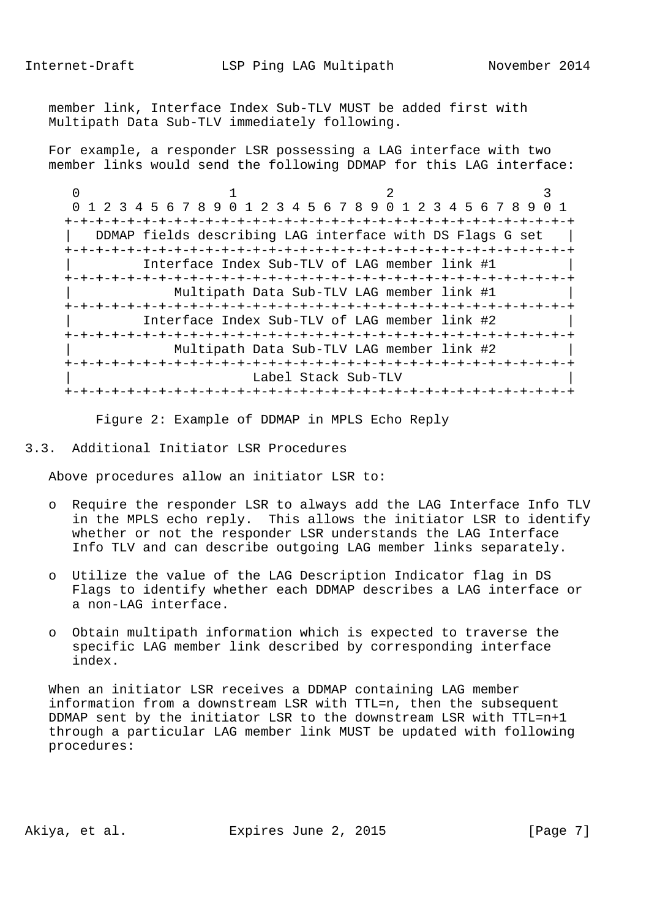Internet-Draft LSP Ping LAG Multipath November 2014

 member link, Interface Index Sub-TLV MUST be added first with Multipath Data Sub-TLV immediately following.

 For example, a responder LSR possessing a LAG interface with two member links would send the following DDMAP for this LAG interface:

 $0$  1 2 3 0 1 2 3 4 5 6 7 8 9 0 1 2 3 4 5 6 7 8 9 0 1 2 3 4 5 6 7 8 9 0 1 +-+-+-+-+-+-+-+-+-+-+-+-+-+-+-+-+-+-+-+-+-+-+-+-+-+-+-+-+-+-+-+-+  $\Box$  DDMAP fields describing LAG interface with DS Flags G set | +-+-+-+-+-+-+-+-+-+-+-+-+-+-+-+-+-+-+-+-+-+-+-+-+-+-+-+-+-+-+-+-+ | Interface Index Sub-TLV of LAG member link #1 | +-+-+-+-+-+-+-+-+-+-+-+-+-+-+-+-+-+-+-+-+-+-+-+-+-+-+-+-+-+-+-+-+ | Multipath Data Sub-TLV LAG member link #1 | +-+-+-+-+-+-+-+-+-+-+-+-+-+-+-+-+-+-+-+-+-+-+-+-+-+-+-+-+-+-+-+-+ | Interface Index Sub-TLV of LAG member link #2 | +-+-+-+-+-+-+-+-+-+-+-+-+-+-+-+-+-+-+-+-+-+-+-+-+-+-+-+-+-+-+-+-+ | Multipath Data Sub-TLV LAG member link #2 | +-+-+-+-+-+-+-+-+-+-+-+-+-+-+-+-+-+-+-+-+-+-+-+-+-+-+-+-+-+-+-+-+ Label Stack Sub-TLV +-+-+-+-+-+-+-+-+-+-+-+-+-+-+-+-+-+-+-+-+-+-+-+-+-+-+-+-+-+-+-+-+

Figure 2: Example of DDMAP in MPLS Echo Reply

### 3.3. Additional Initiator LSR Procedures

Above procedures allow an initiator LSR to:

- o Require the responder LSR to always add the LAG Interface Info TLV in the MPLS echo reply. This allows the initiator LSR to identify whether or not the responder LSR understands the LAG Interface Info TLV and can describe outgoing LAG member links separately.
- o Utilize the value of the LAG Description Indicator flag in DS Flags to identify whether each DDMAP describes a LAG interface or a non-LAG interface.
- o Obtain multipath information which is expected to traverse the specific LAG member link described by corresponding interface index.

 When an initiator LSR receives a DDMAP containing LAG member information from a downstream LSR with TTL=n, then the subsequent DDMAP sent by the initiator LSR to the downstream LSR with TTL=n+1 through a particular LAG member link MUST be updated with following procedures:

Akiya, et al. Expires June 2, 2015 [Page 7]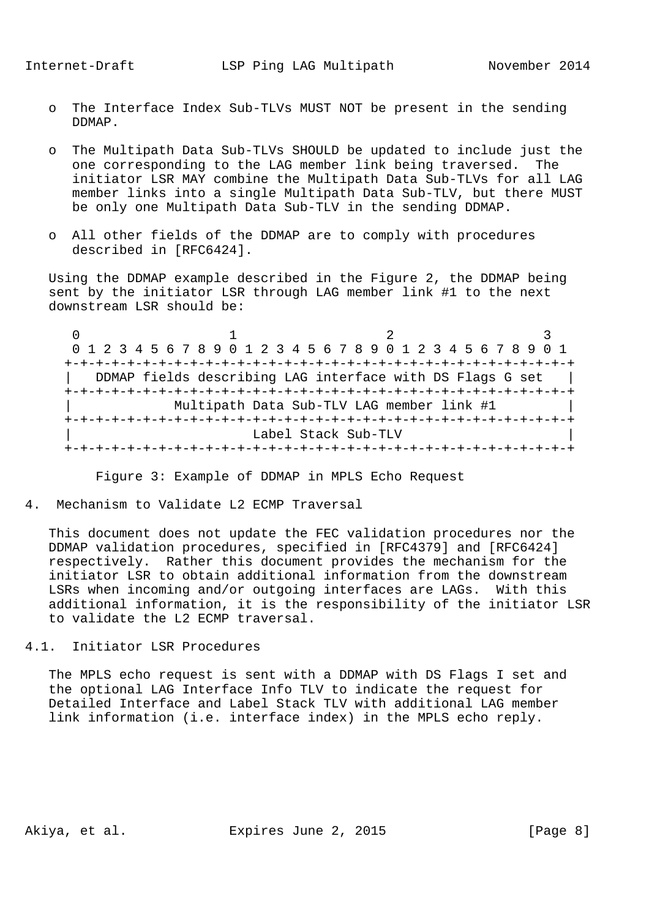- o The Interface Index Sub-TLVs MUST NOT be present in the sending DDMAP.
- o The Multipath Data Sub-TLVs SHOULD be updated to include just the one corresponding to the LAG member link being traversed. The initiator LSR MAY combine the Multipath Data Sub-TLVs for all LAG member links into a single Multipath Data Sub-TLV, but there MUST be only one Multipath Data Sub-TLV in the sending DDMAP.
- o All other fields of the DDMAP are to comply with procedures described in [RFC6424].

 Using the DDMAP example described in the Figure 2, the DDMAP being sent by the initiator LSR through LAG member link #1 to the next downstream LSR should be:

 $0$  1 2 3 0 1 2 3 4 5 6 7 8 9 0 1 2 3 4 5 6 7 8 9 0 1 2 3 4 5 6 7 8 9 0 1 +-+-+-+-+-+-+-+-+-+-+-+-+-+-+-+-+-+-+-+-+-+-+-+-+-+-+-+-+-+-+-+-+ DDMAP fields describing LAG interface with DS Flags G set +-+-+-+-+-+-+-+-+-+-+-+-+-+-+-+-+-+-+-+-+-+-+-+-+-+-+-+-+-+-+-+-+ Multipath Data Sub-TLV LAG member link #1 +-+-+-+-+-+-+-+-+-+-+-+-+-+-+-+-+-+-+-+-+-+-+-+-+-+-+-+-+-+-+-+-+ Label Stack Sub-TLV +-+-+-+-+-+-+-+-+-+-+-+-+-+-+-+-+-+-+-+-+-+-+-+-+-+-+-+-+-+-+-+-+

Figure 3: Example of DDMAP in MPLS Echo Request

4. Mechanism to Validate L2 ECMP Traversal

 This document does not update the FEC validation procedures nor the DDMAP validation procedures, specified in [RFC4379] and [RFC6424] respectively. Rather this document provides the mechanism for the initiator LSR to obtain additional information from the downstream LSRs when incoming and/or outgoing interfaces are LAGs. With this additional information, it is the responsibility of the initiator LSR to validate the L2 ECMP traversal.

4.1. Initiator LSR Procedures

 The MPLS echo request is sent with a DDMAP with DS Flags I set and the optional LAG Interface Info TLV to indicate the request for Detailed Interface and Label Stack TLV with additional LAG member link information (i.e. interface index) in the MPLS echo reply.

Akiya, et al. Expires June 2, 2015 [Page 8]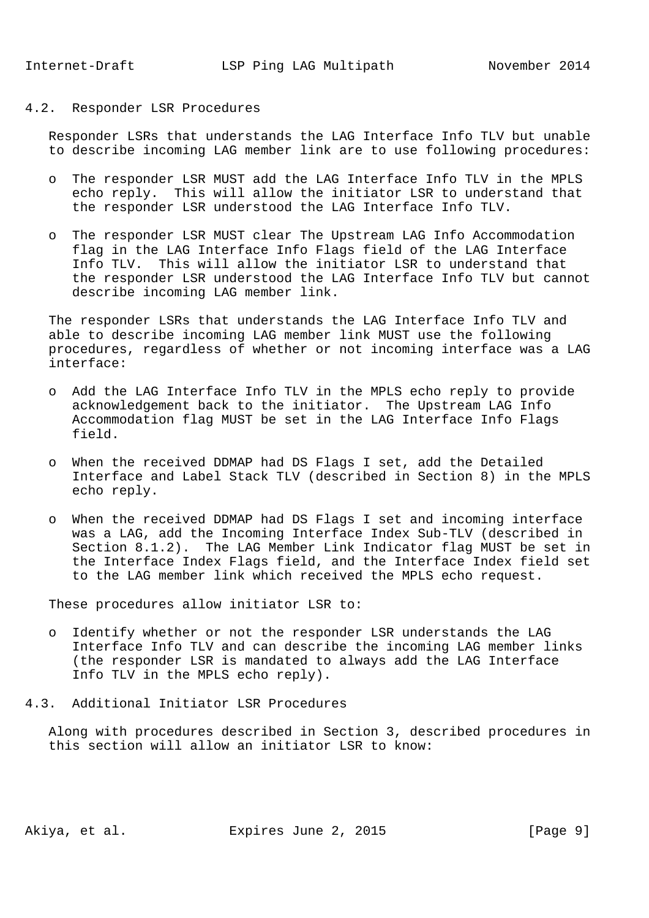# 4.2. Responder LSR Procedures

 Responder LSRs that understands the LAG Interface Info TLV but unable to describe incoming LAG member link are to use following procedures:

- o The responder LSR MUST add the LAG Interface Info TLV in the MPLS echo reply. This will allow the initiator LSR to understand that the responder LSR understood the LAG Interface Info TLV.
- o The responder LSR MUST clear The Upstream LAG Info Accommodation flag in the LAG Interface Info Flags field of the LAG Interface Info TLV. This will allow the initiator LSR to understand that the responder LSR understood the LAG Interface Info TLV but cannot describe incoming LAG member link.

 The responder LSRs that understands the LAG Interface Info TLV and able to describe incoming LAG member link MUST use the following procedures, regardless of whether or not incoming interface was a LAG interface:

- o Add the LAG Interface Info TLV in the MPLS echo reply to provide acknowledgement back to the initiator. The Upstream LAG Info Accommodation flag MUST be set in the LAG Interface Info Flags field.
- o When the received DDMAP had DS Flags I set, add the Detailed Interface and Label Stack TLV (described in Section 8) in the MPLS echo reply.
- o When the received DDMAP had DS Flags I set and incoming interface was a LAG, add the Incoming Interface Index Sub-TLV (described in Section 8.1.2). The LAG Member Link Indicator flag MUST be set in the Interface Index Flags field, and the Interface Index field set to the LAG member link which received the MPLS echo request.

These procedures allow initiator LSR to:

- o Identify whether or not the responder LSR understands the LAG Interface Info TLV and can describe the incoming LAG member links (the responder LSR is mandated to always add the LAG Interface Info TLV in the MPLS echo reply).
- 4.3. Additional Initiator LSR Procedures

 Along with procedures described in Section 3, described procedures in this section will allow an initiator LSR to know: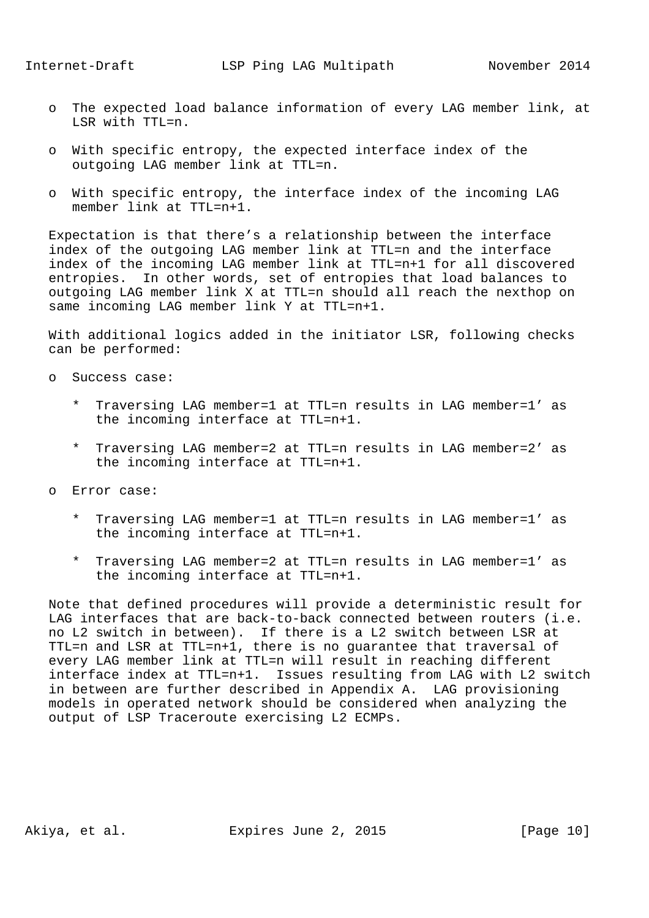- o The expected load balance information of every LAG member link, at LSR with TTL=n.
- o With specific entropy, the expected interface index of the outgoing LAG member link at TTL=n.
- o With specific entropy, the interface index of the incoming LAG member link at TTL=n+1.

 Expectation is that there's a relationship between the interface index of the outgoing LAG member link at TTL=n and the interface index of the incoming LAG member link at TTL=n+1 for all discovered entropies. In other words, set of entropies that load balances to outgoing LAG member link X at TTL=n should all reach the nexthop on same incoming LAG member link Y at TTL=n+1.

 With additional logics added in the initiator LSR, following checks can be performed:

- o Success case:
	- \* Traversing LAG member=1 at TTL=n results in LAG member=1' as the incoming interface at TTL=n+1.
	- \* Traversing LAG member=2 at TTL=n results in LAG member=2' as the incoming interface at TTL=n+1.
- o Error case:
	- \* Traversing LAG member=1 at TTL=n results in LAG member=1' as the incoming interface at TTL=n+1.
	- \* Traversing LAG member=2 at TTL=n results in LAG member=1' as the incoming interface at TTL=n+1.

 Note that defined procedures will provide a deterministic result for LAG interfaces that are back-to-back connected between routers (i.e. no L2 switch in between). If there is a L2 switch between LSR at TTL=n and LSR at TTL=n+1, there is no guarantee that traversal of every LAG member link at TTL=n will result in reaching different interface index at TTL=n+1. Issues resulting from LAG with L2 switch in between are further described in Appendix A. LAG provisioning models in operated network should be considered when analyzing the output of LSP Traceroute exercising L2 ECMPs.

Akiya, et al. Expires June 2, 2015 [Page 10]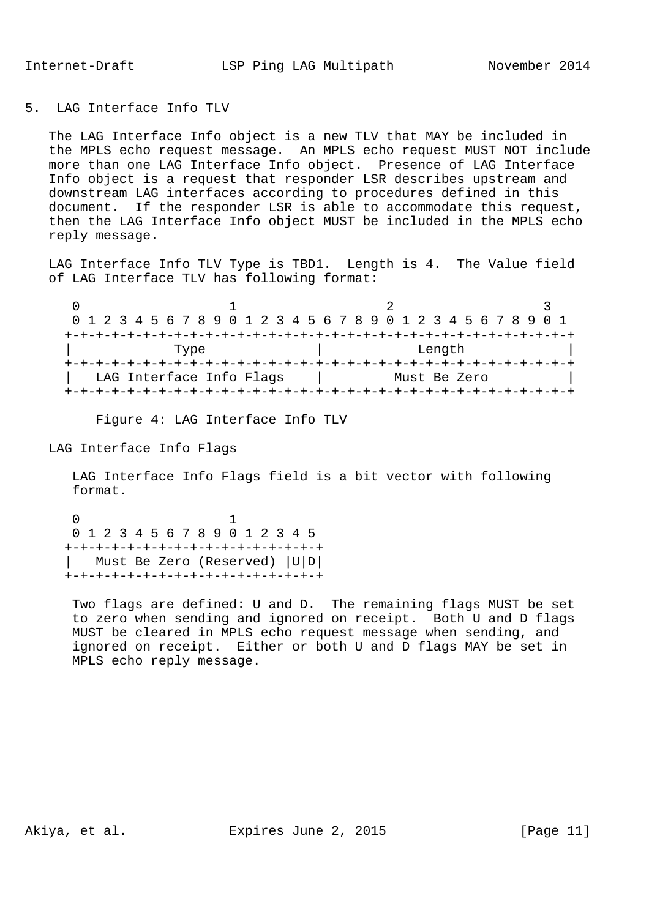## 5. LAG Interface Info TLV

 The LAG Interface Info object is a new TLV that MAY be included in the MPLS echo request message. An MPLS echo request MUST NOT include more than one LAG Interface Info object. Presence of LAG Interface Info object is a request that responder LSR describes upstream and downstream LAG interfaces according to procedures defined in this document. If the responder LSR is able to accommodate this request, then the LAG Interface Info object MUST be included in the MPLS echo reply message.

 LAG Interface Info TLV Type is TBD1. Length is 4. The Value field of LAG Interface TLV has following format:

|                          | 0 1 2 3 4 5 6 7 8 9 0 1 2 3 4 5 6 7 8 9 0 1 2 3 4 5 6 7 8 9 0 1 |  |
|--------------------------|-----------------------------------------------------------------|--|
|                          |                                                                 |  |
| Type                     | Length                                                          |  |
|                          |                                                                 |  |
| LAG Interface Info Flags | Must Be Zero                                                    |  |
|                          |                                                                 |  |

Figure 4: LAG Interface Info TLV

LAG Interface Info Flags

 LAG Interface Info Flags field is a bit vector with following format.

 $\sim$  0  $\sim$  1 0 1 2 3 4 5 6 7 8 9 0 1 2 3 4 5 +-+-+-+-+-+-+-+-+-+-+-+-+-+-+-+-+ | Must Be Zero (Reserved) |U|D| +-+-+-+-+-+-+-+-+-+-+-+-+-+-+-+-+

> Two flags are defined: U and D. The remaining flags MUST be set to zero when sending and ignored on receipt. Both U and D flags MUST be cleared in MPLS echo request message when sending, and ignored on receipt. Either or both U and D flags MAY be set in MPLS echo reply message.

Akiya, et al. Expires June 2, 2015 [Page 11]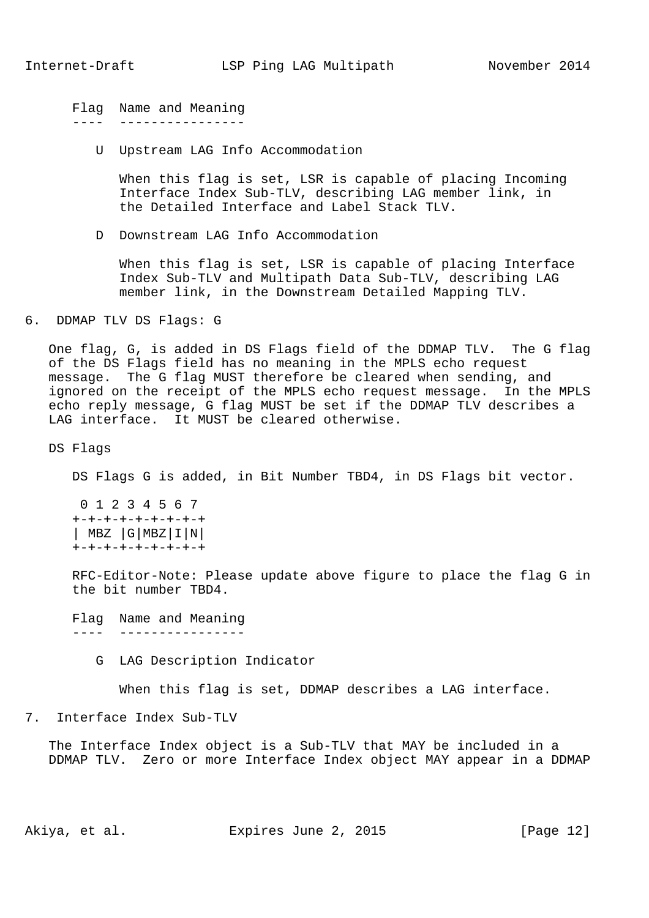Flag Name and Meaning ---- ----------------

U Upstream LAG Info Accommodation

 When this flag is set, LSR is capable of placing Incoming Interface Index Sub-TLV, describing LAG member link, in the Detailed Interface and Label Stack TLV.

D Downstream LAG Info Accommodation

 When this flag is set, LSR is capable of placing Interface Index Sub-TLV and Multipath Data Sub-TLV, describing LAG member link, in the Downstream Detailed Mapping TLV.

6. DDMAP TLV DS Flags: G

 One flag, G, is added in DS Flags field of the DDMAP TLV. The G flag of the DS Flags field has no meaning in the MPLS echo request message. The G flag MUST therefore be cleared when sending, and ignored on the receipt of the MPLS echo request message. In the MPLS echo reply message, G flag MUST be set if the DDMAP TLV describes a LAG interface. It MUST be cleared otherwise.

DS Flags

DS Flags G is added, in Bit Number TBD4, in DS Flags bit vector.

 0 1 2 3 4 5 6 7 +-+-+-+-+-+-+-+-+ | MBZ |G|MBZ|I|N| +-+-+-+-+-+-+-+-+

 RFC-Editor-Note: Please update above figure to place the flag G in the bit number TBD4.

 Flag Name and Meaning ---- ----------------

G LAG Description Indicator

When this flag is set, DDMAP describes a LAG interface.

7. Interface Index Sub-TLV

 The Interface Index object is a Sub-TLV that MAY be included in a DDMAP TLV. Zero or more Interface Index object MAY appear in a DDMAP

Akiya, et al. Expires June 2, 2015 [Page 12]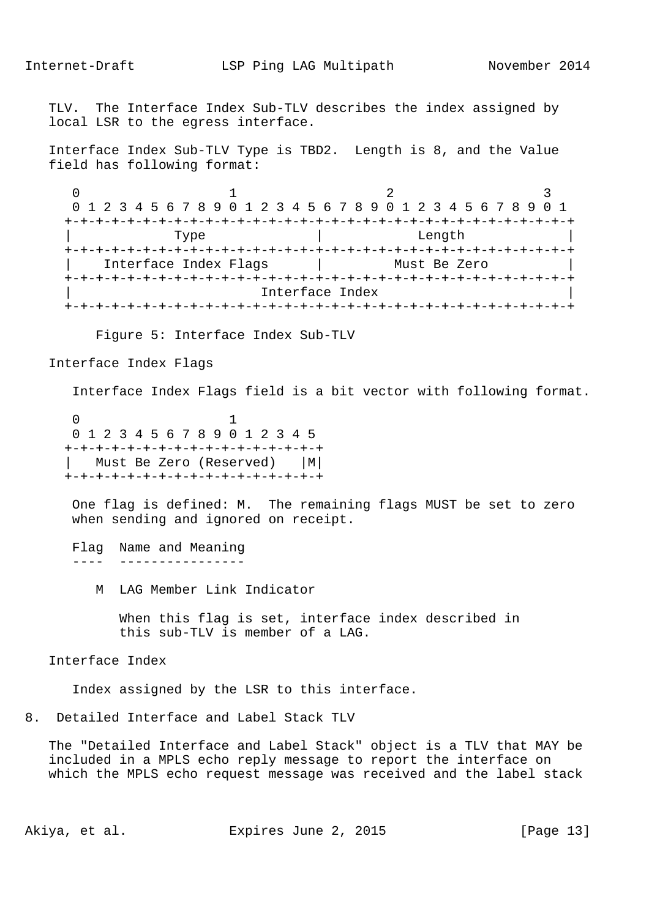TLV. The Interface Index Sub-TLV describes the index assigned by local LSR to the egress interface.

 Interface Index Sub-TLV Type is TBD2. Length is 8, and the Value field has following format:

 $0$  1 2 3 0 1 2 3 4 5 6 7 8 9 0 1 2 3 4 5 6 7 8 9 0 1 2 3 4 5 6 7 8 9 0 1 +-+-+-+-+-+-+-+-+-+-+-+-+-+-+-+-+-+-+-+-+-+-+-+-+-+-+-+-+-+-+-+-+ | Type | Length | +-+-+-+-+-+-+-+-+-+-+-+-+-+-+-+-+-+-+-+-+-+-+-+-+-+-+-+-+-+-+-+-+ | Interface Index Flags | Must Be Zero | +-+-+-+-+-+-+-+-+-+-+-+-+-+-+-+-+-+-+-+-+-+-+-+-+-+-+-+-+-+-+-+-+ Interface Index +-+-+-+-+-+-+-+-+-+-+-+-+-+-+-+-+-+-+-+-+-+-+-+-+-+-+-+-+-+-+-+-+

Figure 5: Interface Index Sub-TLV

Interface Index Flags

Interface Index Flags field is a bit vector with following format.

 $\sim$  0  $\sim$  1 0 1 2 3 4 5 6 7 8 9 0 1 2 3 4 5 +-+-+-+-+-+-+-+-+-+-+-+-+-+-+-+-+ | Must Be Zero (Reserved) |M| +-+-+-+-+-+-+-+-+-+-+-+-+-+-+-+-+

> One flag is defined: M. The remaining flags MUST be set to zero when sending and ignored on receipt.

 Flag Name and Meaning ---- ----------------

M LAG Member Link Indicator

 When this flag is set, interface index described in this sub-TLV is member of a LAG.

Interface Index

Index assigned by the LSR to this interface.

8. Detailed Interface and Label Stack TLV

 The "Detailed Interface and Label Stack" object is a TLV that MAY be included in a MPLS echo reply message to report the interface on which the MPLS echo request message was received and the label stack

Akiya, et al. Expires June 2, 2015 [Page 13]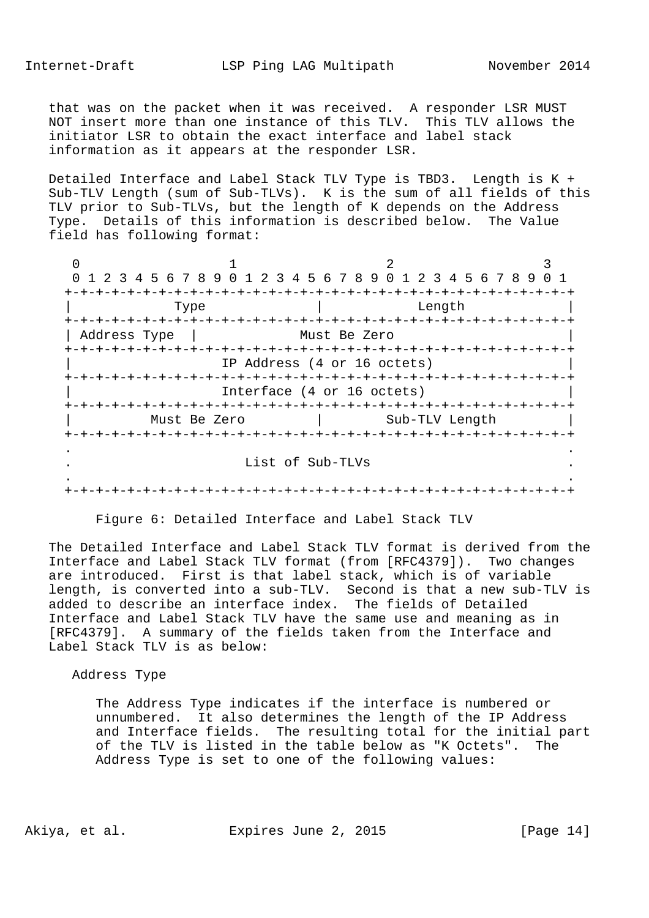that was on the packet when it was received. A responder LSR MUST NOT insert more than one instance of this TLV. This TLV allows the initiator LSR to obtain the exact interface and label stack information as it appears at the responder LSR.

 Detailed Interface and Label Stack TLV Type is TBD3. Length is K + Sub-TLV Length (sum of Sub-TLVs). K is the sum of all fields of this TLV prior to Sub-TLVs, but the length of K depends on the Address Type. Details of this information is described below. The Value field has following format:

 $0$  1 2 3 0 1 2 3 4 5 6 7 8 9 0 1 2 3 4 5 6 7 8 9 0 1 2 3 4 5 6 7 8 9 0 1 +-+-+-+-+-+-+-+-+-+-+-+-+-+-+-+-+-+-+-+-+-+-+-+-+-+-+-+-+-+-+-+-+ | Type | Length | +-+-+-+-+-+-+-+-+-+-+-+-+-+-+-+-+-+-+-+-+-+-+-+-+-+-+-+-+-+-+-+-+ | Address Type | Must Be Zero +-+-+-+-+-+-+-+-+-+-+-+-+-+-+-+-+-+-+-+-+-+-+-+-+-+-+-+-+-+-+-+-+ IP Address (4 or 16 octets) +-+-+-+-+-+-+-+-+-+-+-+-+-+-+-+-+-+-+-+-+-+-+-+-+-+-+-+-+-+-+-+-+ Interface (4 or 16 octets) +-+-+-+-+-+-+-+-+-+-+-+-+-+-+-+-+-+-+-+-+-+-+-+-+-+-+-+-+-+-+-+-+ Must Be Zero | Sub-TLV Length +-+-+-+-+-+-+-+-+-+-+-+-+-+-+-+-+-+-+-+-+-+-+-+-+-+-+-+-+-+-+-+-+ . . . List of Sub-TLVs . . . +-+-+-+-+-+-+-+-+-+-+-+-+-+-+-+-+-+-+-+-+-+-+-+-+-+-+-+-+-+-+-+-+

Figure 6: Detailed Interface and Label Stack TLV

 The Detailed Interface and Label Stack TLV format is derived from the Interface and Label Stack TLV format (from [RFC4379]). Two changes are introduced. First is that label stack, which is of variable length, is converted into a sub-TLV. Second is that a new sub-TLV is added to describe an interface index. The fields of Detailed Interface and Label Stack TLV have the same use and meaning as in [RFC4379]. A summary of the fields taken from the Interface and Label Stack TLV is as below:

#### Address Type

 The Address Type indicates if the interface is numbered or unnumbered. It also determines the length of the IP Address and Interface fields. The resulting total for the initial part of the TLV is listed in the table below as "K Octets". The Address Type is set to one of the following values:

Akiya, et al. Expires June 2, 2015 [Page 14]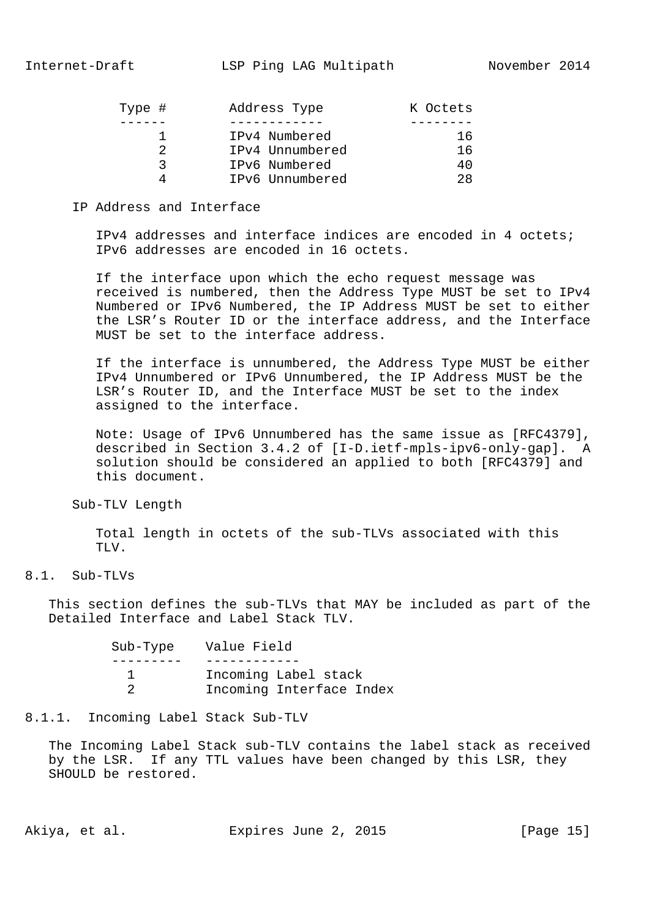| Type # | Address Type    | K Octets |
|--------|-----------------|----------|
|        |                 |          |
|        | IPv4 Numbered   | 16       |
| 2      | IPv4 Unnumbered | 16       |
| ີ      | IPv6 Numbered   | 40.      |
| Δ      | IPv6 Unnumbered | 28.      |

### IP Address and Interface

 IPv4 addresses and interface indices are encoded in 4 octets; IPv6 addresses are encoded in 16 octets.

 If the interface upon which the echo request message was received is numbered, then the Address Type MUST be set to IPv4 Numbered or IPv6 Numbered, the IP Address MUST be set to either the LSR's Router ID or the interface address, and the Interface MUST be set to the interface address.

 If the interface is unnumbered, the Address Type MUST be either IPv4 Unnumbered or IPv6 Unnumbered, the IP Address MUST be the LSR's Router ID, and the Interface MUST be set to the index assigned to the interface.

 Note: Usage of IPv6 Unnumbered has the same issue as [RFC4379], described in Section 3.4.2 of [I-D.ietf-mpls-ipv6-only-gap]. A solution should be considered an applied to both [RFC4379] and this document.

#### Sub-TLV Length

 Total length in octets of the sub-TLVs associated with this TLV.

### 8.1. Sub-TLVs

 This section defines the sub-TLVs that MAY be included as part of the Detailed Interface and Label Stack TLV.

| Sub-Type Value Field     |  |
|--------------------------|--|
|                          |  |
| Incoming Label stack     |  |
| Incoming Interface Index |  |

### 8.1.1. Incoming Label Stack Sub-TLV

 The Incoming Label Stack sub-TLV contains the label stack as received by the LSR. If any TTL values have been changed by this LSR, they SHOULD be restored.

Akiya, et al. Expires June 2, 2015 [Page 15]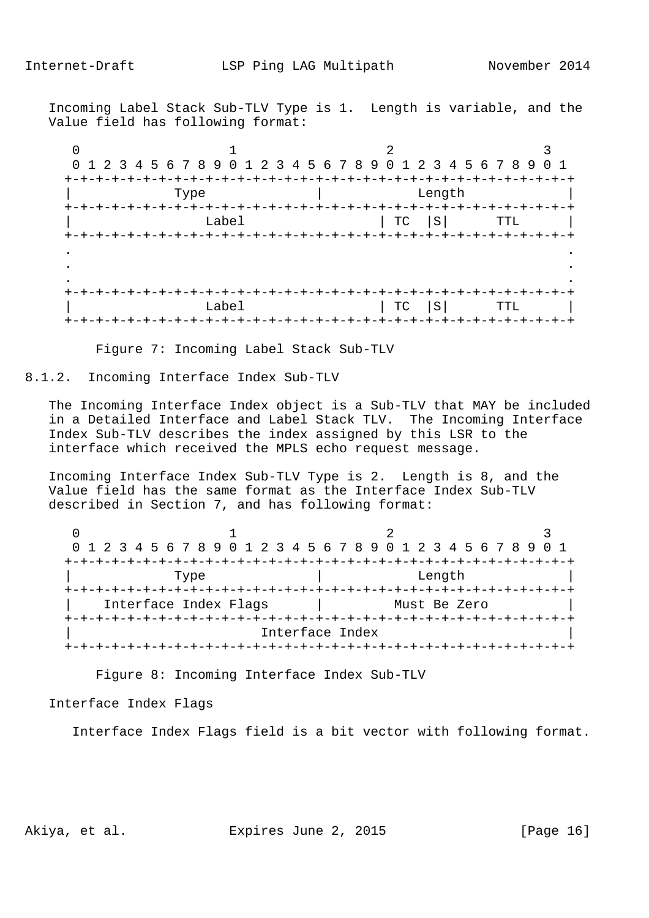Incoming Label Stack Sub-TLV Type is 1. Length is variable, and the Value field has following format:

 $0$  1 2 3 0 1 2 3 4 5 6 7 8 9 0 1 2 3 4 5 6 7 8 9 0 1 2 3 4 5 6 7 8 9 0 1 +-+-+-+-+-+-+-+-+-+-+-+-+-+-+-+-+-+-+-+-+-+-+-+-+-+-+-+-+-+-+-+-+ | Type | Length +-+-+-+-+-+-+-+-+-+-+-+-+-+-+-+-+-+-+-+-+-+-+-+-+-+-+-+-+-+-+-+-+ Label | TC |S| TTL | +-+-+-+-+-+-+-+-+-+-+-+-+-+-+-+-+-+-+-+-+-+-+-+-+-+-+-+-+-+-+-+-+ . . . . . . +-+-+-+-+-+-+-+-+-+-+-+-+-+-+-+-+-+-+-+-+-+-+-+-+-+-+-+-+-+-+-+-+ Label | TC |S| TTL | +-+-+-+-+-+-+-+-+-+-+-+-+-+-+-+-+-+-+-+-+-+-+-+-+-+-+-+-+-+-+-+-+

Figure 7: Incoming Label Stack Sub-TLV

8.1.2. Incoming Interface Index Sub-TLV

 The Incoming Interface Index object is a Sub-TLV that MAY be included in a Detailed Interface and Label Stack TLV. The Incoming Interface Index Sub-TLV describes the index assigned by this LSR to the interface which received the MPLS echo request message.

 Incoming Interface Index Sub-TLV Type is 2. Length is 8, and the Value field has the same format as the Interface Index Sub-TLV described in Section 7, and has following format:

| 0 1 2 3 4 5 6 7 8 9 0 1 2 3 4 5 6 7 8 9 0 1 2 3 4 5 6 7 8 9 0 1 |                 |                               |              |  |
|-----------------------------------------------------------------|-----------------|-------------------------------|--------------|--|
|                                                                 |                 | <u>-+-+-+-+-+-+-+-+-+-+-+</u> |              |  |
| Type                                                            |                 |                               | Length       |  |
| Interface Index Flags                                           |                 |                               | Must Be Zero |  |
|                                                                 |                 |                               |              |  |
|                                                                 | Interface Index |                               |              |  |
|                                                                 |                 |                               |              |  |

Figure 8: Incoming Interface Index Sub-TLV

Interface Index Flags

Interface Index Flags field is a bit vector with following format.

Akiya, et al. Expires June 2, 2015 [Page 16]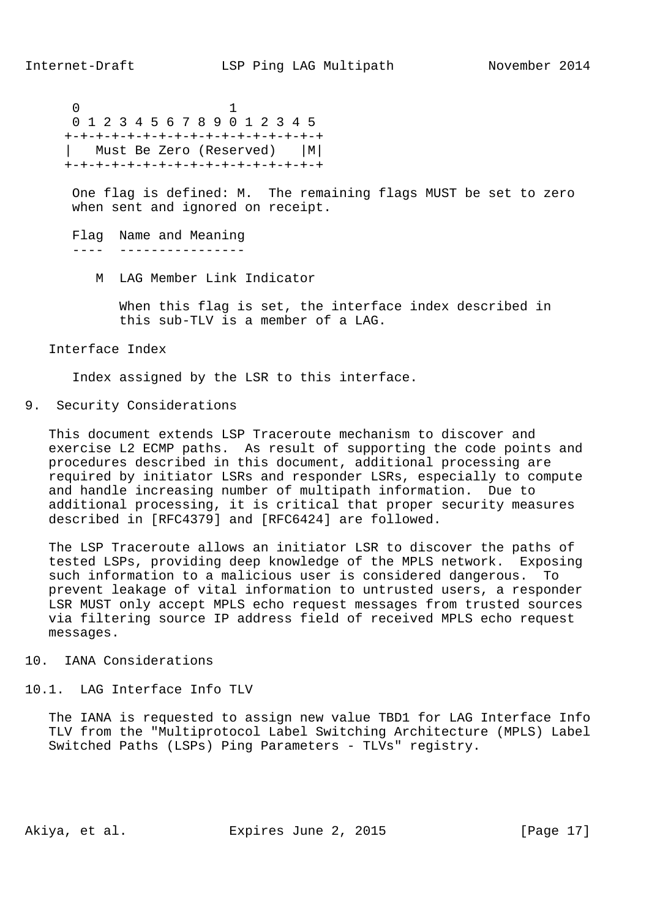$\sim$  0  $\sim$  1 0 1 2 3 4 5 6 7 8 9 0 1 2 3 4 5 +-+-+-+-+-+-+-+-+-+-+-+-+-+-+-+-+ | Must Be Zero (Reserved) |M| +-+-+-+-+-+-+-+-+-+-+-+-+-+-+-+-+

> One flag is defined: M. The remaining flags MUST be set to zero when sent and ignored on receipt.

 Flag Name and Meaning ---- ----------------

M LAG Member Link Indicator

 When this flag is set, the interface index described in this sub-TLV is a member of a LAG.

Interface Index

Index assigned by the LSR to this interface.

9. Security Considerations

 This document extends LSP Traceroute mechanism to discover and exercise L2 ECMP paths. As result of supporting the code points and procedures described in this document, additional processing are required by initiator LSRs and responder LSRs, especially to compute and handle increasing number of multipath information. Due to additional processing, it is critical that proper security measures described in [RFC4379] and [RFC6424] are followed.

 The LSP Traceroute allows an initiator LSR to discover the paths of tested LSPs, providing deep knowledge of the MPLS network. Exposing such information to a malicious user is considered dangerous. To prevent leakage of vital information to untrusted users, a responder LSR MUST only accept MPLS echo request messages from trusted sources via filtering source IP address field of received MPLS echo request messages.

# 10. IANA Considerations

# 10.1. LAG Interface Info TLV

 The IANA is requested to assign new value TBD1 for LAG Interface Info TLV from the "Multiprotocol Label Switching Architecture (MPLS) Label Switched Paths (LSPs) Ping Parameters - TLVs" registry.

Akiya, et al. Expires June 2, 2015 [Page 17]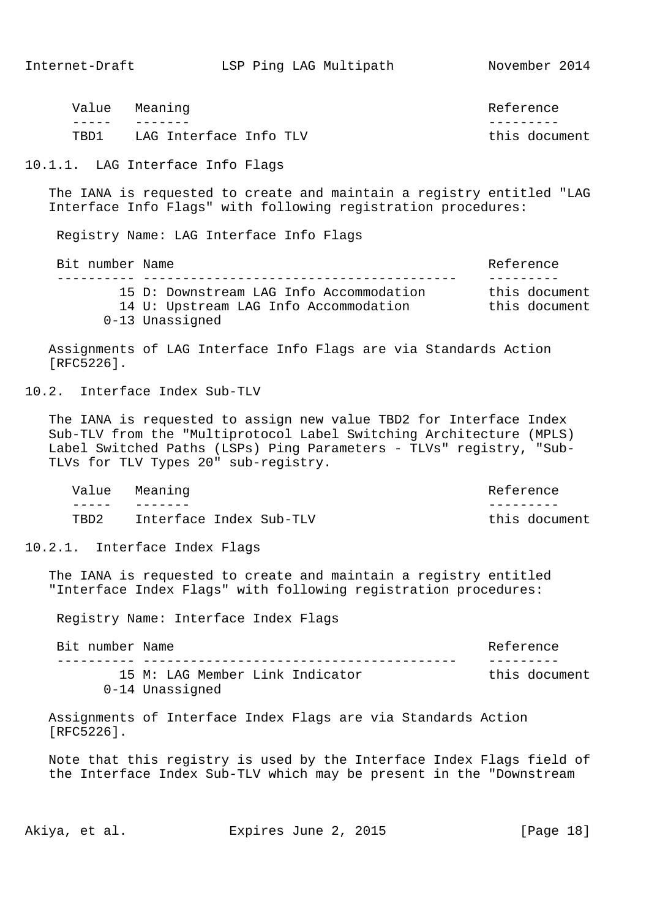this document

| Value | Meaning                | Reference |  |
|-------|------------------------|-----------|--|
|       |                        |           |  |
| TBD1  | LAG Interface Info TLV | this docu |  |

10.1.1. LAG Interface Info Flags

 The IANA is requested to create and maintain a registry entitled "LAG Interface Info Flags" with following registration procedures:

Registry Name: LAG Interface Info Flags

Bit number Name  $\qquad$  ---------- ---------------------------------------- --------- 15 D: Downstream LAG Info Accommodation this document 14 U: Upstream LAG Info Accommodation this document 0-13 Unassigned

 Assignments of LAG Interface Info Flags are via Standards Action [RFC5226].

10.2. Interface Index Sub-TLV

 The IANA is requested to assign new value TBD2 for Interface Index Sub-TLV from the "Multiprotocol Label Switching Architecture (MPLS) Label Switched Paths (LSPs) Ping Parameters - TLVs" registry, "Sub- TLVs for TLV Types 20" sub-registry.

Value Meaning Reference ----- ------- --------- TBD2 Interface Index Sub-TLV this document

10.2.1. Interface Index Flags

 The IANA is requested to create and maintain a registry entitled "Interface Index Flags" with following registration procedures:

Registry Name: Interface Index Flags

| Bit number Name |                                 | Reference     |
|-----------------|---------------------------------|---------------|
|                 |                                 |               |
|                 | 15 M: LAG Member Link Indicator | this document |
|                 | 0-14 Unassigned                 |               |

 Assignments of Interface Index Flags are via Standards Action [RFC5226].

 Note that this registry is used by the Interface Index Flags field of the Interface Index Sub-TLV which may be present in the "Downstream

Akiya, et al. Expires June 2, 2015 [Page 18]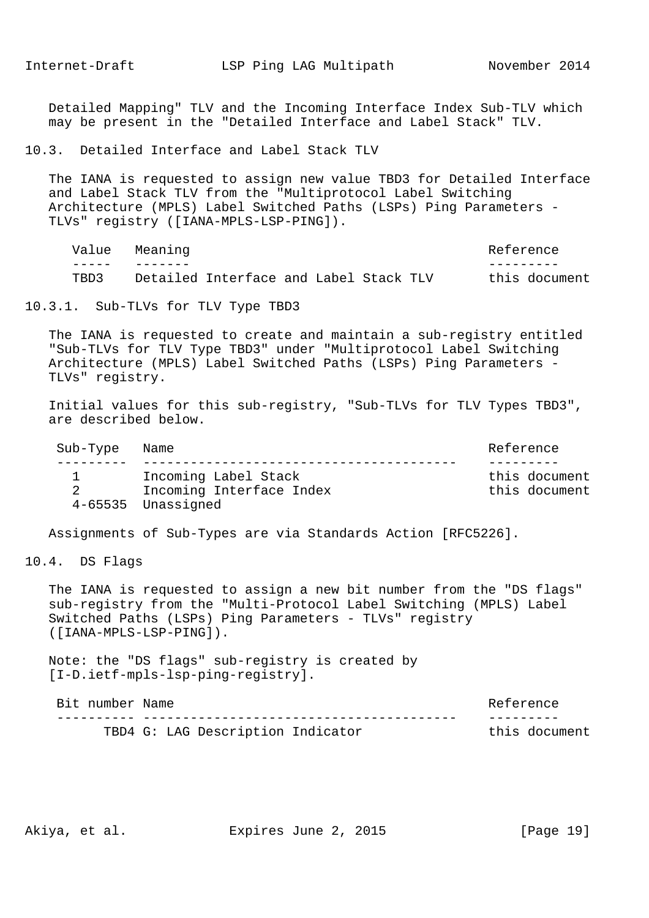Detailed Mapping" TLV and the Incoming Interface Index Sub-TLV which may be present in the "Detailed Interface and Label Stack" TLV.

10.3. Detailed Interface and Label Stack TLV

 The IANA is requested to assign new value TBD3 for Detailed Interface and Label Stack TLV from the "Multiprotocol Label Switching Architecture (MPLS) Label Switched Paths (LSPs) Ping Parameters - TLVs" registry ([IANA-MPLS-LSP-PING]).

| Value | Meaning                                | Reference     |
|-------|----------------------------------------|---------------|
|       |                                        |               |
| TBD3  | Detailed Interface and Label Stack TLV | this document |

10.3.1. Sub-TLVs for TLV Type TBD3

 The IANA is requested to create and maintain a sub-registry entitled "Sub-TLVs for TLV Type TBD3" under "Multiprotocol Label Switching Architecture (MPLS) Label Switched Paths (LSPs) Ping Parameters - TLVs" registry.

 Initial values for this sub-registry, "Sub-TLVs for TLV Types TBD3", are described below.

| Sub-Type Name |                          | Reference     |
|---------------|--------------------------|---------------|
|               |                          |               |
|               | Incoming Label Stack     | this document |
|               | Incoming Interface Index | this document |
|               | 4-65535 Unassigned       |               |

Assignments of Sub-Types are via Standards Action [RFC5226].

10.4. DS Flags

 The IANA is requested to assign a new bit number from the "DS flags" sub-registry from the "Multi-Protocol Label Switching (MPLS) Label Switched Paths (LSPs) Ping Parameters - TLVs" registry ([IANA-MPLS-LSP-PING]).

 Note: the "DS flags" sub-registry is created by [I-D.ietf-mpls-lsp-ping-registry].

| Bit number Name |                                   | Reference     |
|-----------------|-----------------------------------|---------------|
|                 |                                   |               |
|                 | TBD4 G: LAG Description Indicator | this document |

Akiya, et al. Expires June 2, 2015 [Page 19]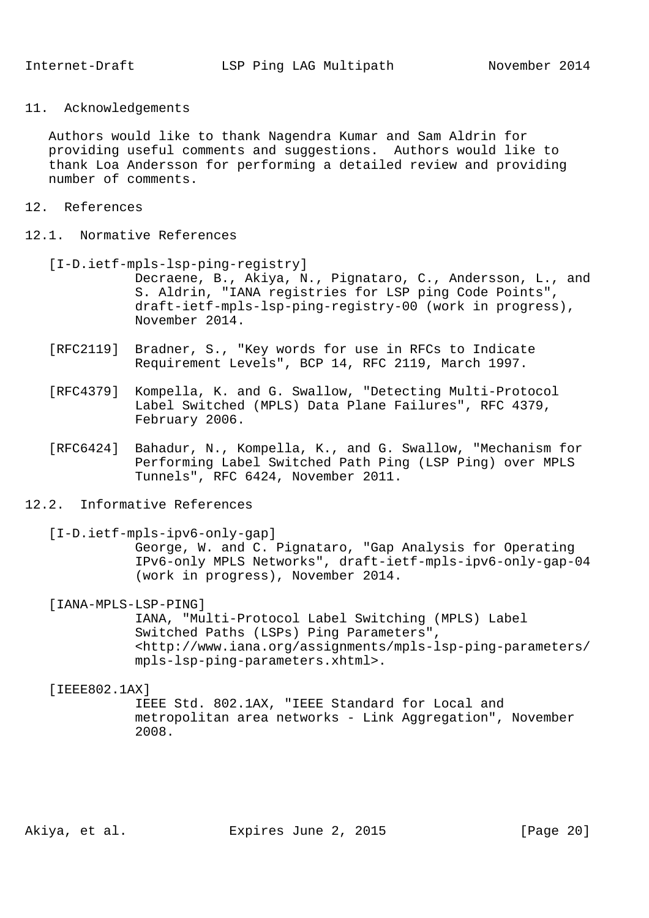11. Acknowledgements

 Authors would like to thank Nagendra Kumar and Sam Aldrin for providing useful comments and suggestions. Authors would like to thank Loa Andersson for performing a detailed review and providing number of comments.

- 12. References
- 12.1. Normative References
	- [I-D.ietf-mpls-lsp-ping-registry] Decraene, B., Akiya, N., Pignataro, C., Andersson, L., and S. Aldrin, "IANA registries for LSP ping Code Points", draft-ietf-mpls-lsp-ping-registry-00 (work in progress), November 2014.
	- [RFC2119] Bradner, S., "Key words for use in RFCs to Indicate Requirement Levels", BCP 14, RFC 2119, March 1997.
	- [RFC4379] Kompella, K. and G. Swallow, "Detecting Multi-Protocol Label Switched (MPLS) Data Plane Failures", RFC 4379, February 2006.
	- [RFC6424] Bahadur, N., Kompella, K., and G. Swallow, "Mechanism for Performing Label Switched Path Ping (LSP Ping) over MPLS Tunnels", RFC 6424, November 2011.
- 12.2. Informative References

[I-D.ietf-mpls-ipv6-only-gap]

 George, W. and C. Pignataro, "Gap Analysis for Operating IPv6-only MPLS Networks", draft-ietf-mpls-ipv6-only-gap-04 (work in progress), November 2014.

[IANA-MPLS-LSP-PING]

 IANA, "Multi-Protocol Label Switching (MPLS) Label Switched Paths (LSPs) Ping Parameters", <http://www.iana.org/assignments/mpls-lsp-ping-parameters/ mpls-lsp-ping-parameters.xhtml>.

### [TEEE802.1AX]

 IEEE Std. 802.1AX, "IEEE Standard for Local and metropolitan area networks - Link Aggregation", November 2008.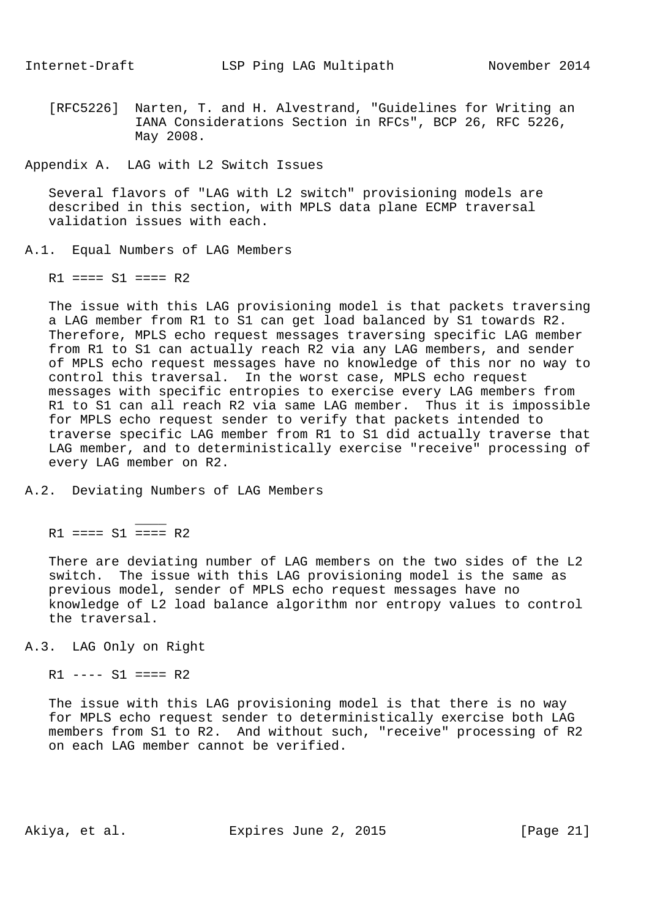[RFC5226] Narten, T. and H. Alvestrand, "Guidelines for Writing an IANA Considerations Section in RFCs", BCP 26, RFC 5226, May 2008.

Appendix A. LAG with L2 Switch Issues

 Several flavors of "LAG with L2 switch" provisioning models are described in this section, with MPLS data plane ECMP traversal validation issues with each.

# A.1. Equal Numbers of LAG Members

 $R1 == = S1 == = R2$ 

 The issue with this LAG provisioning model is that packets traversing a LAG member from R1 to S1 can get load balanced by S1 towards R2. Therefore, MPLS echo request messages traversing specific LAG member from R1 to S1 can actually reach R2 via any LAG members, and sender of MPLS echo request messages have no knowledge of this nor no way to control this traversal. In the worst case, MPLS echo request messages with specific entropies to exercise every LAG members from R1 to S1 can all reach R2 via same LAG member. Thus it is impossible for MPLS echo request sender to verify that packets intended to traverse specific LAG member from R1 to S1 did actually traverse that LAG member, and to deterministically exercise "receive" processing of every LAG member on R2.

#### A.2. Deviating Numbers of LAG Members

 $R1$  ====  $S1$  ====  $R2$ 

 $\mathcal{L}$  and  $\mathcal{L}$  and  $\mathcal{L}$  and  $\mathcal{L}$ 

 There are deviating number of LAG members on the two sides of the L2 switch. The issue with this LAG provisioning model is the same as previous model, sender of MPLS echo request messages have no knowledge of L2 load balance algorithm nor entropy values to control the traversal.

A.3. LAG Only on Right

 $R1$  ----  $S1$  ====  $R2$ 

 The issue with this LAG provisioning model is that there is no way for MPLS echo request sender to deterministically exercise both LAG members from S1 to R2. And without such, "receive" processing of R2 on each LAG member cannot be verified.

Akiya, et al. Expires June 2, 2015 [Page 21]